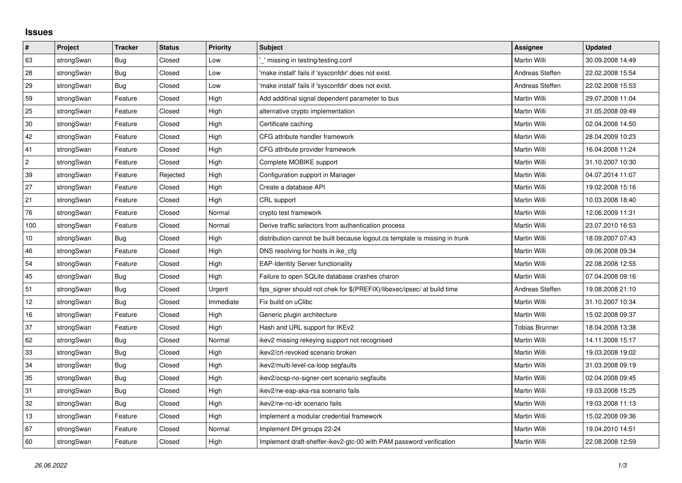## **Issues**

| #              | Project    | <b>Tracker</b> | <b>Status</b> | <b>Priority</b> | <b>Subject</b>                                                              | <b>Assignee</b>       | <b>Updated</b>   |
|----------------|------------|----------------|---------------|-----------------|-----------------------------------------------------------------------------|-----------------------|------------------|
| 63             | strongSwan | <b>Bug</b>     | Closed        | Low             | missing in testing/testing.conf                                             | <b>Martin Willi</b>   | 30.09.2008 14:49 |
| 28             | strongSwan | Bug            | Closed        | Low             | 'make install' fails if 'sysconfdir' does not exist.                        | Andreas Steffen       | 22.02.2008 15:54 |
| 29             | strongSwan | Bug            | Closed        | Low             | 'make install' fails if 'sysconfdir' does not exist.                        | Andreas Steffen       | 22.02.2008 15:53 |
| 59             | strongSwan | Feature        | Closed        | High            | Add additinal signal dependent parameter to bus                             | Martin Willi          | 29.07.2008 11:04 |
| 25             | strongSwan | Feature        | Closed        | High            | alternative crypto implementation                                           | Martin Willi          | 31.05.2008 09:49 |
| 30             | strongSwan | Feature        | Closed        | High            | Certificate caching                                                         | <b>Martin Willi</b>   | 02.04.2008 14:50 |
| 42             | strongSwan | Feature        | Closed        | High            | CFG attribute handler framework                                             | Martin Willi          | 28.04.2009 10:23 |
| 41             | strongSwan | Feature        | Closed        | High            | CFG attribute provider framework                                            | Martin Willi          | 16.04.2008 11:24 |
| $\overline{c}$ | strongSwan | Feature        | Closed        | High            | Complete MOBIKE support                                                     | Martin Willi          | 31.10.2007 10:30 |
| 39             | strongSwan | Feature        | Rejected      | High            | Configuration support in Manager                                            | Martin Willi          | 04.07.2014 11:07 |
| 27             | strongSwan | Feature        | Closed        | High            | Create a database API                                                       | Martin Willi          | 19.02.2008 15:16 |
| 21             | strongSwan | Feature        | Closed        | High            | CRL support                                                                 | Martin Willi          | 10.03.2008 18:40 |
| 76             | strongSwan | Feature        | Closed        | Normal          | crypto test framework                                                       | Martin Willi          | 12.06.2009 11:31 |
| 100            | strongSwan | Feature        | Closed        | Normal          | Derive traffic selectors from authentication process                        | Martin Willi          | 23.07.2010 16:53 |
| $10$           | strongSwan | Bug            | Closed        | High            | distribution cannot be built because logout.cs template is missing in trunk | Martin Willi          | 18.09.2007 07:43 |
| 46             | strongSwan | Feature        | Closed        | High            | DNS resolving for hosts in ike_cfg                                          | Martin Willi          | 09.06.2008 09:34 |
| 54             | strongSwan | Feature        | Closed        | High            | <b>EAP-Identity Server functionality</b>                                    | Martin Willi          | 22.08.2008 12:55 |
| 45             | strongSwan | Bug            | Closed        | High            | Failure to open SQLite database crashes charon                              | Martin Willi          | 07.04.2008 09:16 |
| 51             | strongSwan | <b>Bug</b>     | Closed        | Urgent          | fips signer should not chek for \$(PREFIX)/libexec/ipsec/ at build time     | Andreas Steffen       | 19.08.2008 21:10 |
| 12             | strongSwan | Bug            | Closed        | Immediate       | Fix build on uClibc                                                         | Martin Willi          | 31.10.2007 10:34 |
| $16\,$         | strongSwan | Feature        | Closed        | High            | Generic plugin architecture                                                 | Martin Willi          | 15.02.2008 09:37 |
| 37             | strongSwan | Feature        | Closed        | High            | Hash and URL support for IKEv2                                              | <b>Tobias Brunner</b> | 18.04.2008 13:38 |
| 62             | strongSwan | Bug            | Closed        | Normal          | ikev2 missing rekeying support not recognised                               | Martin Willi          | 14.11.2008 15:17 |
| 33             | strongSwan | Bug            | Closed        | High            | ikev2/crl-revoked scenario broken                                           | Martin Willi          | 19.03.2008 19:02 |
| 34             | strongSwan | Bug            | Closed        | High            | ikev2/multi-level-ca-loop segfaults                                         | Martin Willi          | 31.03.2008 09:19 |
| 35             | strongSwan | Bug            | Closed        | High            | ikev2/ocsp-no-signer-cert scenario segfaults                                | Martin Willi          | 02.04.2008 09:45 |
| 31             | strongSwan | Bug            | Closed        | High            | ikev2/rw-eap-aka-rsa scenario fails                                         | Martin Willi          | 19.03.2008 15:25 |
| 32             | strongSwan | <b>Bug</b>     | Closed        | High            | ikev2/rw-no-idr scenario fails                                              | Martin Willi          | 19.03.2008 11:13 |
| 13             | strongSwan | Feature        | Closed        | High            | Implement a modular credential framework                                    | Martin Willi          | 15.02.2008 09:36 |
| 67             | strongSwan | Feature        | Closed        | Normal          | Implement DH groups 22-24                                                   | Martin Willi          | 19.04.2010 14:51 |
| 60             | strongSwan | Feature        | Closed        | High            | Implement draft-sheffer-ikev2-gtc-00 with PAM password verification         | Martin Willi          | 22.08.2008 12:59 |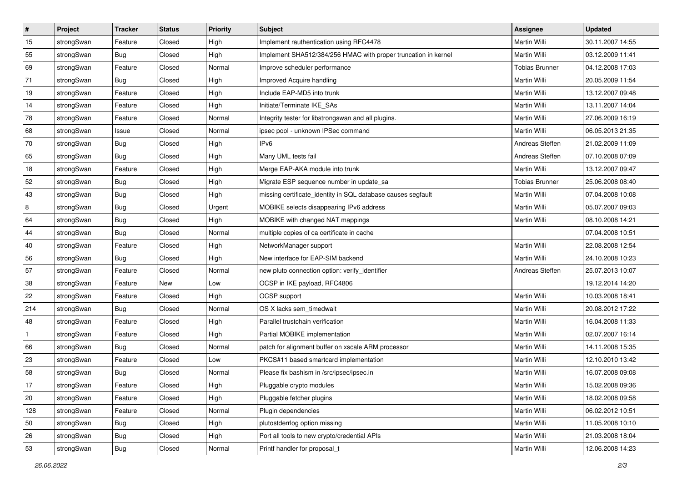| $\vert$ #    | Project    | <b>Tracker</b> | <b>Status</b> | <b>Priority</b> | <b>Subject</b>                                                 | <b>Assignee</b>       | <b>Updated</b>   |
|--------------|------------|----------------|---------------|-----------------|----------------------------------------------------------------|-----------------------|------------------|
| 15           | strongSwan | Feature        | Closed        | High            | Implement rauthentication using RFC4478                        | Martin Willi          | 30.11.2007 14:55 |
| 55           | strongSwan | Bug            | Closed        | High            | Implement SHA512/384/256 HMAC with proper truncation in kernel | <b>Martin Willi</b>   | 03.12.2009 11:41 |
| 69           | strongSwan | Feature        | Closed        | Normal          | Improve scheduler performance                                  | <b>Tobias Brunner</b> | 04.12.2008 17:03 |
| 71           | strongSwan | Bug            | Closed        | High            | Improved Acquire handling                                      | Martin Willi          | 20.05.2009 11:54 |
| 19           | strongSwan | Feature        | Closed        | High            | Include EAP-MD5 into trunk                                     | Martin Willi          | 13.12.2007 09:48 |
| 14           | strongSwan | Feature        | Closed        | High            | Initiate/Terminate IKE_SAs                                     | Martin Willi          | 13.11.2007 14:04 |
| 78           | strongSwan | Feature        | Closed        | Normal          | Integrity tester for libstrongswan and all plugins.            | Martin Willi          | 27.06.2009 16:19 |
| 68           | strongSwan | Issue          | Closed        | Normal          | ipsec pool - unknown IPSec command                             | Martin Willi          | 06.05.2013 21:35 |
| 70           | strongSwan | Bug            | Closed        | High            | IP <sub>v6</sub>                                               | Andreas Steffen       | 21.02.2009 11:09 |
| 65           | strongSwan | Bug            | Closed        | High            | Many UML tests fail                                            | Andreas Steffen       | 07.10.2008 07:09 |
| 18           | strongSwan | Feature        | Closed        | High            | Merge EAP-AKA module into trunk                                | Martin Willi          | 13.12.2007 09:47 |
| 52           | strongSwan | <b>Bug</b>     | Closed        | High            | Migrate ESP sequence number in update_sa                       | <b>Tobias Brunner</b> | 25.06.2008 08:40 |
| 43           | strongSwan | Bug            | Closed        | High            | missing certificate_identity in SQL database causes segfault   | Martin Willi          | 07.04.2008 10:08 |
| 8            | strongSwan | <b>Bug</b>     | Closed        | Urgent          | MOBIKE selects disappearing IPv6 address                       | Martin Willi          | 05.07.2007 09:03 |
| 64           | strongSwan | Bug            | Closed        | High            | MOBIKE with changed NAT mappings                               | <b>Martin Willi</b>   | 08.10.2008 14:21 |
| 44           | strongSwan | <b>Bug</b>     | Closed        | Normal          | multiple copies of ca certificate in cache                     |                       | 07.04.2008 10:51 |
| 40           | strongSwan | Feature        | Closed        | High            | NetworkManager support                                         | <b>Martin Willi</b>   | 22.08.2008 12:54 |
| 56           | strongSwan | Bug            | Closed        | High            | New interface for EAP-SIM backend                              | <b>Martin Willi</b>   | 24.10.2008 10:23 |
| 57           | strongSwan | Feature        | Closed        | Normal          | new pluto connection option: verify identifier                 | Andreas Steffen       | 25.07.2013 10:07 |
| 38           | strongSwan | Feature        | New           | Low             | OCSP in IKE payload, RFC4806                                   |                       | 19.12.2014 14:20 |
| 22           | strongSwan | Feature        | Closed        | High            | OCSP support                                                   | Martin Willi          | 10.03.2008 18:41 |
| 214          | strongSwan | Bug            | Closed        | Normal          | OS X lacks sem_timedwait                                       | Martin Willi          | 20.08.2012 17:22 |
| 48           | strongSwan | Feature        | Closed        | High            | Parallel trustchain verification                               | Martin Willi          | 16.04.2008 11:33 |
| $\mathbf{1}$ | strongSwan | Feature        | Closed        | High            | Partial MOBIKE implementation                                  | Martin Willi          | 02.07.2007 16:14 |
| 66           | strongSwan | <b>Bug</b>     | Closed        | Normal          | patch for alignment buffer on xscale ARM processor             | Martin Willi          | 14.11.2008 15:35 |
| 23           | strongSwan | Feature        | Closed        | Low             | PKCS#11 based smartcard implementation                         | Martin Willi          | 12.10.2010 13:42 |
| 58           | strongSwan | Bug            | Closed        | Normal          | Please fix bashism in /src/ipsec/ipsec.in                      | Martin Willi          | 16.07.2008 09:08 |
| 17           | strongSwan | Feature        | Closed        | High            | Pluggable crypto modules                                       | Martin Willi          | 15.02.2008 09:36 |
| 20           | strongSwan | Feature        | Closed        | High            | Pluggable fetcher plugins                                      | Martin Willi          | 18.02.2008 09:58 |
| 128          | strongSwan | Feature        | Closed        | Normal          | Plugin dependencies                                            | Martin Willi          | 06.02.2012 10:51 |
| 50           | strongSwan | Bug            | Closed        | High            | plutostderrlog option missing                                  | Martin Willi          | 11.05.2008 10:10 |
| 26           | strongSwan | Bug            | Closed        | High            | Port all tools to new crypto/credential APIs                   | Martin Willi          | 21.03.2008 18:04 |
| 53           | strongSwan | <b>Bug</b>     | Closed        | Normal          | Printf handler for proposal_t                                  | Martin Willi          | 12.06.2008 14:23 |